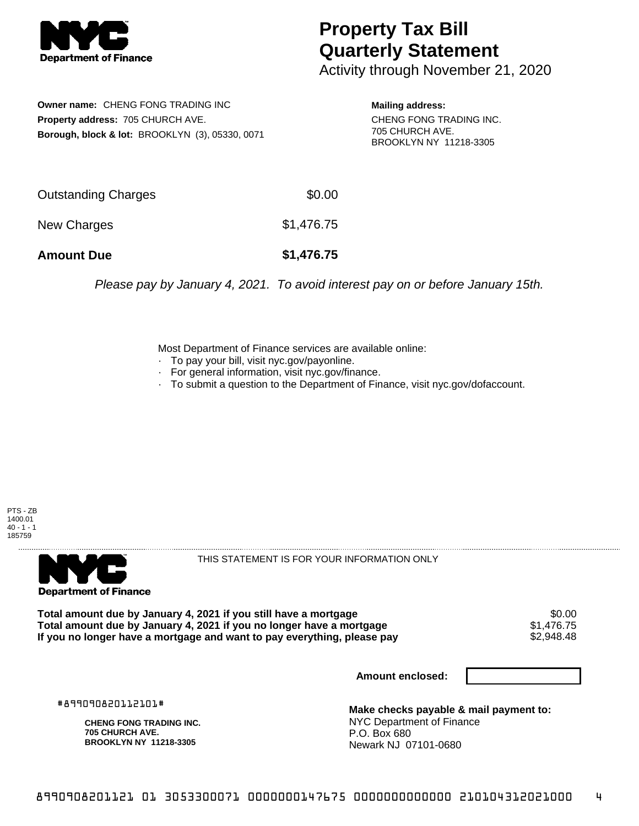

## **Property Tax Bill Quarterly Statement**

Activity through November 21, 2020

**Owner name:** CHENG FONG TRADING INC **Property address:** 705 CHURCH AVE. **Borough, block & lot:** BROOKLYN (3), 05330, 0071

**Mailing address:** CHENG FONG TRADING INC. 705 CHURCH AVE. BROOKLYN NY 11218-3305

| <b>Amount Due</b>   | \$1,476.75 |
|---------------------|------------|
| New Charges         | \$1,476.75 |
| Outstanding Charges | \$0.00     |

Please pay by January 4, 2021. To avoid interest pay on or before January 15th.

Most Department of Finance services are available online:

- · To pay your bill, visit nyc.gov/payonline.
- For general information, visit nyc.gov/finance.
- · To submit a question to the Department of Finance, visit nyc.gov/dofaccount.





THIS STATEMENT IS FOR YOUR INFORMATION ONLY

Total amount due by January 4, 2021 if you still have a mortgage \$0.00<br>Total amount due by January 4, 2021 if you no longer have a mortgage \$1.476.75 **Total amount due by January 4, 2021 if you no longer have a mortgage**  $$1,476.75$ **<br>If you no longer have a mortgage and want to pay everything, please pay**  $$2,948.48$ If you no longer have a mortgage and want to pay everything, please pay

**Amount enclosed:**

#899090820112101#

**CHENG FONG TRADING INC. 705 CHURCH AVE. BROOKLYN NY 11218-3305**

**Make checks payable & mail payment to:** NYC Department of Finance P.O. Box 680 Newark NJ 07101-0680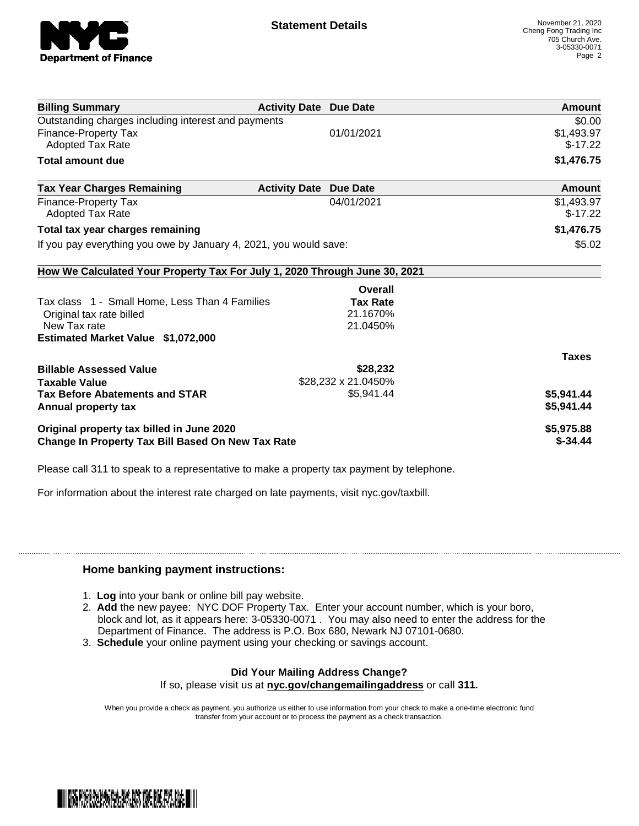

| <b>Billing Summary</b>                                                     | <b>Activity Date Due Date</b> |                     | Amount       |
|----------------------------------------------------------------------------|-------------------------------|---------------------|--------------|
| Outstanding charges including interest and payments                        |                               |                     | \$0.00       |
| Finance-Property Tax                                                       |                               | 01/01/2021          | \$1,493.97   |
| Adopted Tax Rate                                                           |                               |                     | $$-17.22$    |
| <b>Total amount due</b>                                                    |                               |                     | \$1,476.75   |
| <b>Tax Year Charges Remaining</b>                                          | <b>Activity Date</b>          | <b>Due Date</b>     | Amount       |
| Finance-Property Tax                                                       |                               | 04/01/2021          | \$1,493.97   |
| <b>Adopted Tax Rate</b>                                                    |                               |                     | $$-17.22$    |
| Total tax year charges remaining                                           |                               |                     | \$1,476.75   |
| If you pay everything you owe by January 4, 2021, you would save:          |                               |                     | \$5.02       |
| How We Calculated Your Property Tax For July 1, 2020 Through June 30, 2021 |                               |                     |              |
|                                                                            |                               | Overall             |              |
| Tax class 1 - Small Home, Less Than 4 Families                             |                               | <b>Tax Rate</b>     |              |
| Original tax rate billed                                                   |                               | 21.1670%            |              |
| New Tax rate                                                               |                               | 21.0450%            |              |
| Estimated Market Value \$1,072,000                                         |                               |                     |              |
|                                                                            |                               |                     | <b>Taxes</b> |
| <b>Billable Assessed Value</b>                                             |                               | \$28,232            |              |
| <b>Taxable Value</b>                                                       |                               | \$28,232 x 21.0450% |              |
| <b>Tax Before Abatements and STAR</b>                                      |                               | \$5,941.44          | \$5,941.44   |
| Annual property tax                                                        |                               |                     | \$5,941.44   |
| Original property tax billed in June 2020                                  |                               |                     | \$5,975.88   |
| <b>Change In Property Tax Bill Based On New Tax Rate</b>                   |                               |                     | $$ -34.44$   |

Please call 311 to speak to a representative to make a property tax payment by telephone.

For information about the interest rate charged on late payments, visit nyc.gov/taxbill.

## **Home banking payment instructions:**

- 1. **Log** into your bank or online bill pay website.
- 2. **Add** the new payee: NYC DOF Property Tax. Enter your account number, which is your boro, block and lot, as it appears here: 3-05330-0071 . You may also need to enter the address for the Department of Finance. The address is P.O. Box 680, Newark NJ 07101-0680.
- 3. **Schedule** your online payment using your checking or savings account.

## **Did Your Mailing Address Change?**

If so, please visit us at **nyc.gov/changemailingaddress** or call **311.**

When you provide a check as payment, you authorize us either to use information from your check to make a one-time electronic fund transfer from your account or to process the payment as a check transaction.